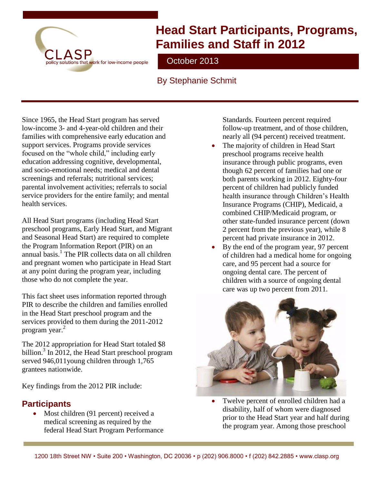

# **Head Start Participants, Programs, Families and Staff in 2012**

October 2013

### By Stephanie Schmit

Since 1965, the Head Start program has served low-income 3- and 4-year-old children and their families with comprehensive early education and support services. Programs provide services focused on the "whole child," including early education addressing cognitive, developmental, and socio-emotional needs; medical and dental screenings and referrals; nutritional services; parental involvement activities; referrals to social service providers for the entire family; and mental health services.

All Head Start programs (including Head Start preschool programs, Early Head Start, and Migrant and Seasonal Head Start) are required to complete the Program Information Report (PIR) on an annual basis. 1 The PIR collects data on all children and pregnant women who participate in Head Start at any point during the program year, including those who do not complete the year.

This fact sheet uses information reported through PIR to describe the children and families enrolled in the Head Start preschool program and the services provided to them during the 2011-2012 program year.<sup>2</sup>

The 2012 appropriation for Head Start totaled \$8 billion.<sup>3</sup> In 2012, the Head Start preschool program served 946,011young children through 1,765 grantees nationwide.

Key findings from the 2012 PIR include:

#### **Participants**

 Most children (91 percent) received a medical screening as required by the federal Head Start Program Performance Standards. Fourteen percent required follow-up treatment, and of those children, nearly all (94 percent) received treatment.

- The majority of children in Head Start preschool programs receive health insurance through public programs, even though 62 percent of families had one or both parents working in 2012. Eighty-four percent of children had publicly funded health insurance through Children's Health Insurance Programs (CHIP), Medicaid, a combined CHIP/Medicaid program, or other state-funded insurance percent (down 2 percent from the previous year), while 8 percent had private insurance in 2012.
- By the end of the program year, 97 percent of children had a medical home for ongoing care, and 95 percent had a source for ongoing dental care. The percent of children with a source of ongoing dental care was up two percent from 2011.



 Twelve percent of enrolled children had a disability, half of whom were diagnosed prior to the Head Start year and half during the program year. Among those preschool